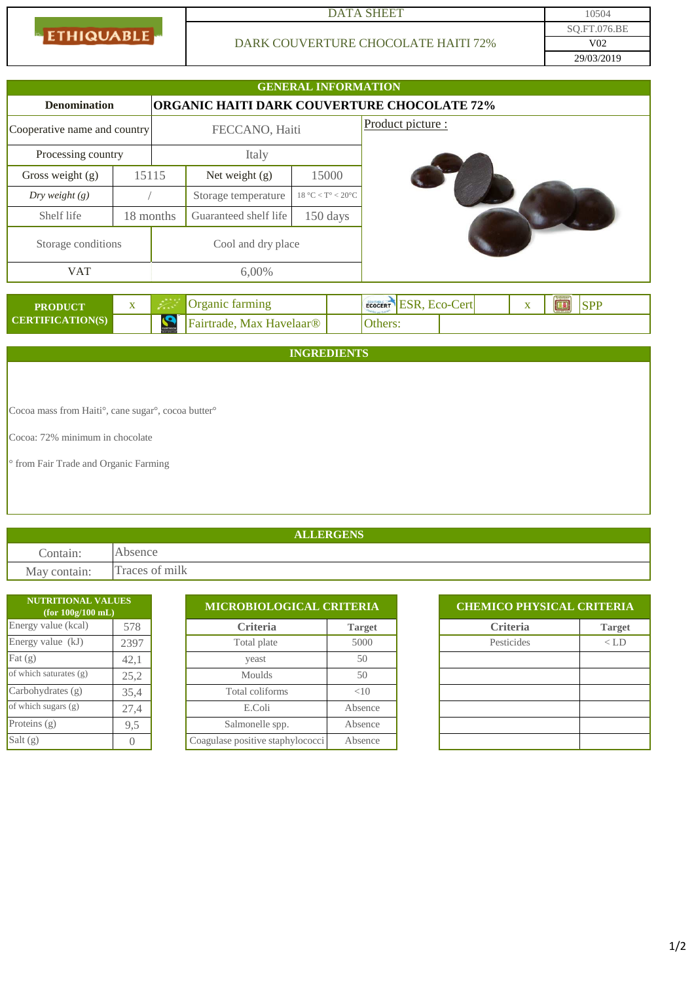**ETHIQUABLE** 

### DATA SHEET 10504

## DARK COUVERTURE CHOCOLATE HAITI 72%

29/03/2019 SQ.FT.076.BE V02

|                                                    |              |                    |                          | <b>GENERAL INFORMATION</b>            |                                                          |  |  |
|----------------------------------------------------|--------------|--------------------|--------------------------|---------------------------------------|----------------------------------------------------------|--|--|
| <b>Denomination</b>                                |              |                    |                          |                                       | ORGANIC HAITI DARK COUVERTURE CHOCOLATE 72%              |  |  |
| Cooperative name and country                       |              | FECCANO, Haiti     |                          |                                       | Product picture :                                        |  |  |
| Processing country                                 |              | Italy              |                          |                                       |                                                          |  |  |
| Gross weight (g)                                   | 15115        |                    | Net weight (g)           | 15000                                 |                                                          |  |  |
| Dry weight $(g)$                                   |              |                    | Storage temperature      | $18\text{ °C} < T$ ° < $20\text{ °C}$ |                                                          |  |  |
| Shelf life                                         | 18 months    |                    | Guaranteed shelf life    | 150 days                              |                                                          |  |  |
| Storage conditions                                 |              | Cool and dry place |                          |                                       |                                                          |  |  |
| <b>VAT</b>                                         |              | 6,00%              |                          |                                       |                                                          |  |  |
| <b>PRODUCT</b>                                     | $\mathbf{X}$ |                    | Organic farming          |                                       | ECOCERT ESR, ECO-Cert<br><b>SPP</b><br>■<br>$\mathbf{X}$ |  |  |
| <b>CERTIFICATION(S)</b>                            |              |                    | Fairtrade, Max Havelaar® |                                       | Others:                                                  |  |  |
| <b>INGREDIENTS</b>                                 |              |                    |                          |                                       |                                                          |  |  |
|                                                    |              |                    |                          |                                       |                                                          |  |  |
| Cocoa mass from Haiti°, cane sugar°, cocoa butter° |              |                    |                          |                                       |                                                          |  |  |
| Cocoa: 72% minimum in chocolate                    |              |                    |                          |                                       |                                                          |  |  |
| <sup>o</sup> from Fair Trade and Organic Farming   |              |                    |                          |                                       |                                                          |  |  |

# **ALLERGENS**

Contain: Absence May contain: Traces of milk

| <b>NUTRITIONAL VALUES</b><br>(for 100g/100mL) |          |                                  | <b>MICROBIOLOGICAL CRITERIA</b> |  | <b>CHEMICO PHYSICAL CRITERIA</b> |               |  |  |
|-----------------------------------------------|----------|----------------------------------|---------------------------------|--|----------------------------------|---------------|--|--|
| Energy value (kcal)<br>578                    |          | <b>Criteria</b>                  | <b>Target</b>                   |  | <b>Criteria</b>                  | <b>Target</b> |  |  |
| Energy value $(kJ)$                           | 2397     | Total plate                      | 5000                            |  | Pesticides                       | $<$ LD        |  |  |
| Fat $(g)$                                     | 42,1     | yeast                            | 50                              |  |                                  |               |  |  |
| of which saturates (g)                        | 25,2     | <b>Moulds</b>                    | 50                              |  |                                  |               |  |  |
| Carbohydrates $(g)$                           | 35,4     | Total coliforms                  | <10                             |  |                                  |               |  |  |
| of which sugars (g)                           | 27,4     | E.Coli                           | Absence                         |  |                                  |               |  |  |
| Proteins $(g)$                                | 9,5      | Salmonelle spp.                  | Absence                         |  |                                  |               |  |  |
| Salt $(g)$                                    | $\Omega$ | Coagulase positive staphylococci | Absence                         |  |                                  |               |  |  |

| <b>CHEMICO PHYSICAL CRITERIA</b> |               |  |  |  |  |
|----------------------------------|---------------|--|--|--|--|
| <b>Criteria</b>                  | <b>Target</b> |  |  |  |  |
| Pesticides                       | $\langle$ LD  |  |  |  |  |
|                                  |               |  |  |  |  |
|                                  |               |  |  |  |  |
|                                  |               |  |  |  |  |
|                                  |               |  |  |  |  |
|                                  |               |  |  |  |  |
|                                  |               |  |  |  |  |